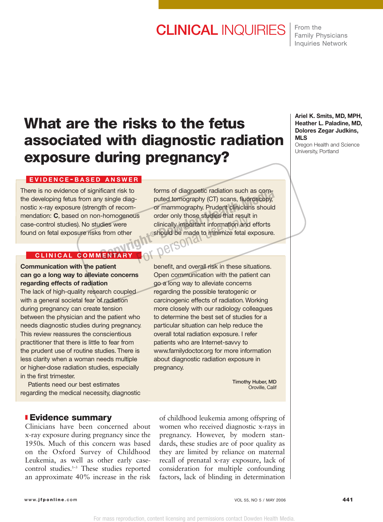# **CLINICAL** INQUIRIES

From the Family Physicians Inquiries Network

# **What are the risks to the fetus associated with diagnostic radiation exposure during pregnancy?**

### **EVIDENCE - BASED ANSWER**

There is no evidence of significant risk to the developing fetus from any single diagnostic x-ray exposure (strength of recommendation: **C**, based on non-homogenous case-control studies). No studies were found on fetal exposure risks from other

## **CLINICAL COMMENTARY**

**Communication with the patient can go a long way to alleviate concerns regarding effects of radiation**

The lack of high-quality research coupled with a general societal fear of radiation during pregnancy can create tension between the physician and the patient who needs diagnostic studies during pregnancy. This review reassures the conscientious practitioner that there is little to fear from the prudent use of routine studies. There is less clarity when a woman needs multiple or higher-dose radiation studies, especially in the first trimester.

Patients need our best estimates regarding the medical necessity, diagnostic

## ❚ **Evidence summary**

Clinicians have been concerned about x-ray exposure during pregnancy since the 1950s. Much of this concern was based on the Oxford Survey of Childhood Leukemia, as well as other early casecontrol studies.<sup>1-3</sup> These studies reported an approximate 40% increase in the risk

forms of diagnostic radiation such as computed tomography (CT) scans, fluoroscopy, or mammography. Prudent clinicians should order only those studies that result in clinically important information and efforts should be made to minimize fetal exposure. Formal Triangle diagreement Media borning of addressive radiation such as computed to the personal personal order only those studies that result in clinically important information and efforts is from other should be made

benefit, and overall risk in these situations. Open communication with the patient can go a long way to alleviate concerns regarding the possible teratogenic or carcinogenic effects of radiation. Working more closely with our radiology colleagues to determine the best set of studies for a particular situation can help reduce the overall total radiation exposure. I refer patients who are Internet-savvy to www.familydoctor.org for more information about diagnostic radiation exposure in pregnancy.

> **Timothy Huber, MD** Oroville, Calif

of childhood leukemia among offspring of women who received diagnostic x-rays in pregnancy. However, by modern standards, these studies are of poor quality as they are limited by reliance on maternal recall of prenatal x-ray exposure, lack of consideration for multiple confounding factors, lack of blinding in determination

#### **Ariel K. Smits, MD, MPH, Heather L. Paladine, MD, Dolores Zegar Judkins, MLS**

Oregon Health and Science University, Portland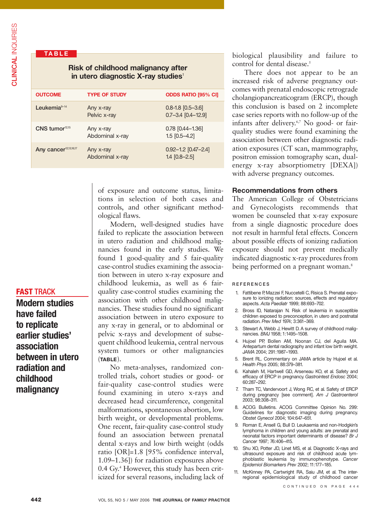## **TABLE**

## **Risk of childhood malignancy after in utero diagnostic X-ray studies**<sup>1</sup>

| <b>OUTCOME</b>                    | <b>TYPE OF STUDY</b>         | <b>ODDS RATIO [95% CI]</b>                          |
|-----------------------------------|------------------------------|-----------------------------------------------------|
| Leukemia $9-14$                   | Any x-ray<br>Pelvic x-ray    | $0.8 - 1.8$ [0.5-3.6]<br>$0.7 - 3.4$ $[0.4 - 12.9]$ |
| CNS tumor <sup>12,15</sup>        | Any x-ray<br>Abdominal x-ray | $0.78$ $[0.44 - 1.36]$<br>$1.5$ [0.5-4.2]           |
| Any cancer <sup>12,13,16,17</sup> | Any x-ray<br>Abdominal x-ray | $0.92 - 1.2$ [0.47-2.4]<br>$1.4$ [0.8-2.5]          |

of exposure and outcome status, limitations in selection of both cases and controls, and other significant methodological flaws.

Modern, well-designed studies have failed to replicate the association between in utero radiation and childhood malignancies found in the early studies. We found 1 good-quality and 5 fair-quality case-control studies examining the association between in utero x-ray exposure and childhood leukemia, as well as 6 fairquality case-control studies examining the association with other childhood malignancies. These studies found no significant association between in utero exposure to any x-ray in general, or to abdominal or pelvic x-rays and development of subsequent childhood leukemia, central nervous system tumors or other malignancies (**TABLE**).

No meta-analyses, randomized controlled trials, cohort studies or good- or fair-quality case-control studies were found examining in utero x-rays and decreased head circumference, congenital malformations, spontaneous abortion, low birth weight, or developmental problems. One recent, fair-quality case-control study found an association between prenatal dental x-rays and low birth weight (odds ratio [OR]=1.8 [95% confidence interval, 1.09–1.36]) for radiation exposures above 0.4 Gy.4 However, this study has been criticized for several reasons, including lack of biological plausibility and failure to control for dental disease.<sup>5</sup>

There does not appear to be an increased risk of adverse pregnancy outcomes with prenatal endoscopic retrograde cholangiopancreaticogram (ERCP), though this conclusion is based on 2 incomplete case series reports with no follow-up of the infants after delivery.6,7 No good- or fairquality studies were found examining the association between other diagnostic radiation exposures (CT scan, mammography, positron emission tomography scan, dualenergy x-ray absorptiometry [DEXA]) with adverse pregnancy outcomes.

### **Recommendations from others**

The American College of Obstetricians and Gynecologists recommends that women be counseled that x-ray exposure from a single diagnostic procedure does not result in harmful fetal effects. Concern about possible effects of ionizing radiation exposure should not prevent medically indicated diagnostic x-ray procedures from being performed on a pregnant woman.<sup>8</sup>

#### **REFERENCES**

- 1. Fattibene P, Mazzei F, Nuccetelli C, Risica S. Prenatal exposure to ionizing radiation: sources, effects and regulatory aspects. *Acta Paediatr* 1999; 88:693–702.
- 2. Bross ID, Natarajan N. Risk of leukemia in susceptible children exposed to preconception, in utero and postnatal radiation. *Prev Med* 1974; 3:361–369.
- 3. Stewart A, Webb J, Hewitt D. A survey of childhood malignancies. *BMJ* 1958; 1:1495–1508.
- 4. Hujoel PP, Bollen AM, Noonan CJ, del Aguila MA. Antepartum dental radiography and infant low birth weight. *JAMA* 2004; 291:1987–1993.
- 5. Brent RL. Commentary on JAMA article by Hujoel et al. *Health Phys* 2005; 88:379–381.
- 6. Kahaleh M, Hartwell GD, Arseneau KO, et al. Safety and efficacy of ERCP in pregnancy. *Gastrointest Endosc* 2004; 60:287–292.
- 7. Tham TC, Vandervoort J, Wong RC, et al. Safety of ERCP during pregnancy [see comment]. *Am J Gastroenterol* 2003; 98:308–311.
- 8. ACOG Bulletins. ACOG Committee Opinion No. 299: Guidelines for diagnostic imaging during pregnancy. *Obstet Gynecol* 2004; 104:647–651.
- 9. Roman E, Ansell G, Bull D. Leukaemia and non-Hodgkin's lymphoma in children and young adults: are prenatal and neonatal factors important determinants of disease? *Br J Cancer* 1997; 76:406–415.
- 10. Shu XO, Potter JD, Linet MS, et al. Diagnostic X-rays and ultrasound exposure and risk of childhood acute lymphoblastic leukemia by immunophenotype. *Cancer Epidemiol Biomarkers Prev* 2002; 11:177–185.
- 11. McKinney PA, Cartwright RA, Saiu JM, et al. The interregional epidemiological study of childhood cancer

#### CONTINUED ON PAGE 444

## **FAST** TRACK

**Modern studies have failed to replicate earlier studies' association between in utero radiation and childhood malignancy**